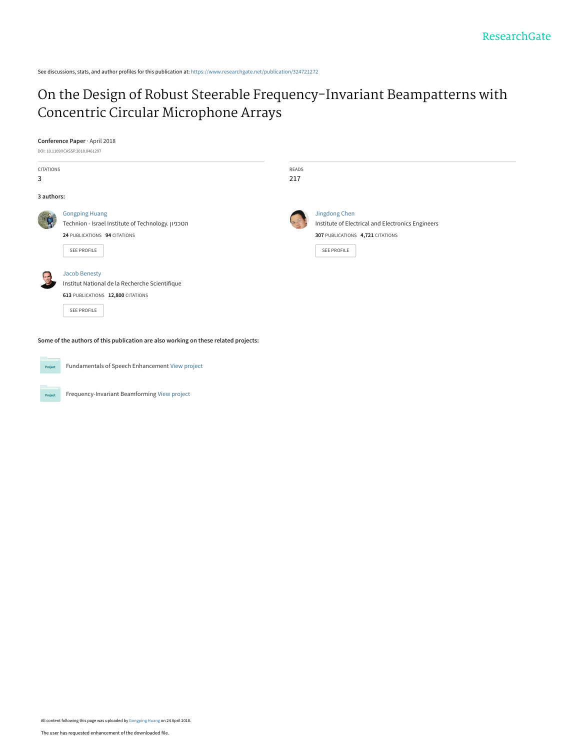See discussions, stats, and author profiles for this publication at: [https://www.researchgate.net/publication/324721272](https://www.researchgate.net/publication/324721272_On_the_Design_of_Robust_Steerable_Frequency-Invariant_Beampatterns_with_Concentric_Circular_Microphone_Arrays?enrichId=rgreq-819081bfb4429049a79b49a2c47ec625-XXX&enrichSource=Y292ZXJQYWdlOzMyNDcyMTI3MjtBUzo2MTg4ODgwNDc5MDI3MjFAMTUyNDU2NTgxNzM5OA%3D%3D&el=1_x_2&_esc=publicationCoverPdf)

# [On the Design of Robust Steerable Frequency-Invariant Beampatterns with](https://www.researchgate.net/publication/324721272_On_the_Design_of_Robust_Steerable_Frequency-Invariant_Beampatterns_with_Concentric_Circular_Microphone_Arrays?enrichId=rgreq-819081bfb4429049a79b49a2c47ec625-XXX&enrichSource=Y292ZXJQYWdlOzMyNDcyMTI3MjtBUzo2MTg4ODgwNDc5MDI3MjFAMTUyNDU2NTgxNzM5OA%3D%3D&el=1_x_3&_esc=publicationCoverPdf) Concentric Circular Microphone Arrays

## **Conference Paper** · April 2018

| DOI: 10.1109/ICASSP.2018.8461297 |                                                                                                                            |       |                                                                                                                              |  |
|----------------------------------|----------------------------------------------------------------------------------------------------------------------------|-------|------------------------------------------------------------------------------------------------------------------------------|--|
| CITATIONS                        |                                                                                                                            | READS |                                                                                                                              |  |
| 3                                |                                                                                                                            | 217   |                                                                                                                              |  |
| 3 authors:                       |                                                                                                                            |       |                                                                                                                              |  |
|                                  | <b>Gongping Huang</b><br>Technion - Israel Institute of Technology. הטכניון<br>24 PUBLICATIONS 94 CITATIONS<br>SEE PROFILE |       | Jingdong Chen<br>Institute of Electrical and Electronics Engineers<br>307 PUBLICATIONS 4,721 CITATIONS<br><b>SEE PROFILE</b> |  |
|                                  | <b>Jacob Benesty</b><br>Institut National de la Recherche Scientifique<br>613 PUBLICATIONS 12,800 CITATIONS<br>SEE PROFILE |       |                                                                                                                              |  |

**Some of the authors of this publication are also working on these related projects:**



Project

Fundamentals of Speech Enhancement [View project](https://www.researchgate.net/project/Fundamentals-of-Speech-Enhancement?enrichId=rgreq-819081bfb4429049a79b49a2c47ec625-XXX&enrichSource=Y292ZXJQYWdlOzMyNDcyMTI3MjtBUzo2MTg4ODgwNDc5MDI3MjFAMTUyNDU2NTgxNzM5OA%3D%3D&el=1_x_9&_esc=publicationCoverPdf)

Frequency-Invariant Beamforming [View project](https://www.researchgate.net/project/Frequency-Invariant-Beamforming-2?enrichId=rgreq-819081bfb4429049a79b49a2c47ec625-XXX&enrichSource=Y292ZXJQYWdlOzMyNDcyMTI3MjtBUzo2MTg4ODgwNDc5MDI3MjFAMTUyNDU2NTgxNzM5OA%3D%3D&el=1_x_9&_esc=publicationCoverPdf)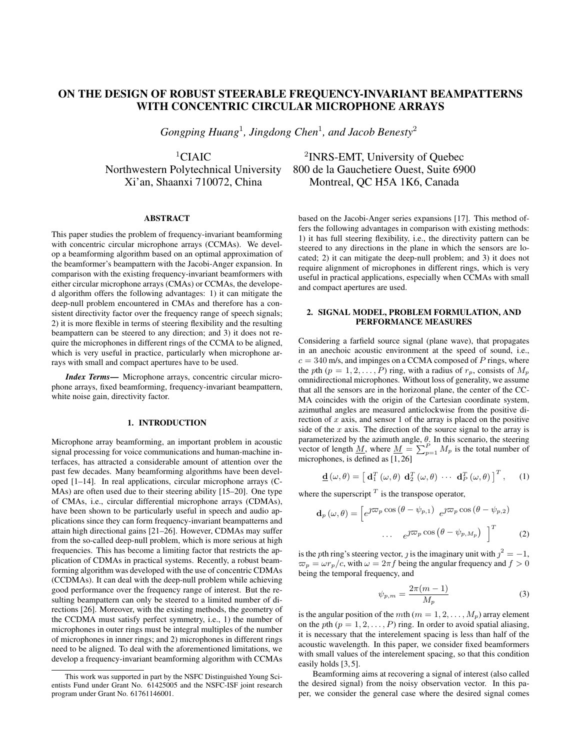# ON THE DESIGN OF ROBUST STEERABLE FREQUENCY-INVARIANT BEAMPATTERNS WITH CONCENTRIC CIRCULAR MICROPHONE ARRAYS

*Gongping Huang*<sup>1</sup> *, Jingdong Chen*<sup>1</sup> *, and Jacob Benesty*<sup>2</sup>

 ${}^{1}$ CIAIC

# ABSTRACT

This paper studies the problem of frequency-invariant beamforming with concentric circular microphone arrays (CCMAs). We develop a beamforming algorithm based on an optimal approximation of the beamformer's beampattern with the Jacobi-Anger expansion. In comparison with the existing frequency-invariant beamformers with either circular microphone arrays (CMAs) or CCMAs, the developed algorithm offers the following advantages: 1) it can mitigate the deep-null problem encountered in CMAs and therefore has a consistent directivity factor over the frequency range of speech signals; 2) it is more flexible in terms of steering flexibility and the resulting beampattern can be steered to any direction; and 3) it does not require the microphones in different rings of the CCMA to be aligned, which is very useful in practice, particularly when microphone arrays with small and compact apertures have to be used.

*Index Terms*— Microphone arrays, concentric circular microphone arrays, fixed beamforming, frequency-invariant beampattern, white noise gain, directivity factor.

### 1. INTRODUCTION

Microphone array beamforming, an important problem in acoustic signal processing for voice communications and human-machine interfaces, has attracted a considerable amount of attention over the past few decades. Many beamforming algorithms have been developed [1–14]. In real applications, circular microphone arrays (C-MAs) are often used due to their steering ability [15–20]. One type of CMAs, i.e., circular differential microphone arrays (CDMAs), have been shown to be particularly useful in speech and audio applications since they can form frequency-invariant beampatterns and attain high directional gains [21–26]. However, CDMAs may suffer from the so-called deep-null problem, which is more serious at high frequencies. This has become a limiting factor that restricts the application of CDMAs in practical systems. Recently, a robust beamforming algorithm was developed with the use of concentric CDMAs (CCDMAs). It can deal with the deep-null problem while achieving good performance over the frequency range of interest. But the resulting beampattern can only be steered to a limited number of directions [26]. Moreover, with the existing methods, the geometry of the CCDMA must satisfy perfect symmetry, i.e., 1) the number of microphones in outer rings must be integral multiples of the number of microphones in inner rings; and 2) microphones in different rings need to be aligned. To deal with the aforementioned limitations, we develop a frequency-invariant beamforming algorithm with CCMAs

<sup>2</sup>INRS-EMT, University of Ouebec Northwestern Polytechnical University 800 de la Gauchetiere Ouest, Suite 6900 Xi'an, Shaanxi 710072, China Montreal, QC H5A 1K6, Canada

> based on the Jacobi-Anger series expansions [17]. This method offers the following advantages in comparison with existing methods: 1) it has full steering flexibility, i.e., the directivity pattern can be steered to any directions in the plane in which the sensors are located; 2) it can mitigate the deep-null problem; and 3) it does not require alignment of microphones in different rings, which is very useful in practical applications, especially when CCMAs with small and compact apertures are used.

# 2. SIGNAL MODEL, PROBLEM FORMULATION, AND PERFORMANCE MEASURES

Considering a farfield source signal (plane wave), that propagates in an anechoic acoustic environment at the speed of sound, i.e.,  $c = 340$  m/s, and impinges on a CCMA composed of *P* rings, where the *p*th  $(p = 1, 2, \ldots, P)$  ring, with a radius of  $r_p$ , consists of  $M_p$ omnidirectional microphones. Without loss of generality, we assume that all the sensors are in the horizonal plane, the center of the CC-MA coincides with the origin of the Cartesian coordinate system, azimuthal angles are measured anticlockwise from the positive direction of *x* axis, and sensor 1 of the array is placed on the positive side of the *x* axis. The direction of the source signal to the array is parameterized by the azimuth angle, *θ*. In this scenario, the steering vector of length <u>M</u>, where  $\underline{M} = \sum_{p=1}^{P} M_p$  is the total number of microphones, is defined as [1, 26]

$$
\underline{\mathbf{d}}\left(\omega,\theta\right) = \left[\ \mathbf{d}_1^T\left(\omega,\theta\right) \ \mathbf{d}_2^T\left(\omega,\theta\right) \ \cdots \ \mathbf{d}_P^T\left(\omega,\theta\right) \right]^T, \qquad (1)
$$

where the superscript  $<sup>T</sup>$  is the transpose operator,</sup>

$$
\mathbf{d}_{p}(\omega,\theta) = \left[e^{\jmath \nabla p} \cos (\theta - \psi_{p,1}) e^{\jmath \nabla p} \cos (\theta - \psi_{p,2})\right]
$$

$$
\dots e^{\jmath \nabla p} \cos (\theta - \psi_{p,M_p}) \bigg]^{T}
$$
(2)

is the *p*th ring's steering vector, *j* is the imaginary unit with  $j^2 = -1$ ,  $\varpi_p = \omega r_p/c$ , with  $\omega = 2\pi f$  being the angular frequency and  $f > 0$ being the temporal frequency, and

$$
\psi_{p,m} = \frac{2\pi(m-1)}{M_p} \tag{3}
$$

is the angular position of the *m*th ( $m = 1, 2, \ldots, M_p$ ) array element on the *p*th  $(p = 1, 2, \ldots, P)$  ring. In order to avoid spatial aliasing, it is necessary that the interelement spacing is less than half of the acoustic wavelength. In this paper, we consider fixed beamformers with small values of the interelement spacing, so that this condition easily holds [3, 5].

Beamforming aims at recovering a signal of interest (also called the desired signal) from the noisy observation vector. In this paper, we consider the general case where the desired signal comes

This work was supported in part by the NSFC Distinguished Young Scientists Fund under Grant No. 61425005 and the NSFC-ISF joint research program under Grant No. 61761146001.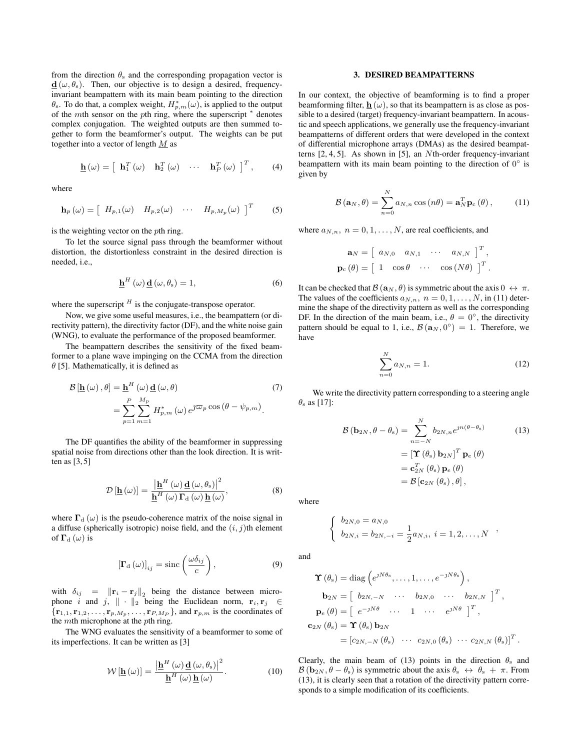from the direction  $\theta_s$  and the corresponding propagation vector is  $\mathbf{d}$  ( $\omega$ ,  $\theta$ <sub>s</sub>). Then, our objective is to design a desired, frequencyinvariant beampattern with its main beam pointing to the direction  $\theta_s$ . To do that, a complex weight,  $H_{p,m}^*(\omega)$ , is applied to the output of the *m*th sensor on the *p*th ring, where the superscript *<sup>∗</sup>* denotes complex conjugation. The weighted outputs are then summed together to form the beamformer's output. The weights can be put together into a vector of length *M* as

$$
\underline{\mathbf{h}}(\omega) = \begin{bmatrix} \mathbf{h}_1^T(\omega) & \mathbf{h}_2^T(\omega) & \cdots & \mathbf{h}_P^T(\omega) \end{bmatrix}^T, \quad (4)
$$

where

$$
\mathbf{h}_p(\omega) = \begin{bmatrix} H_{p,1}(\omega) & H_{p,2}(\omega) & \cdots & H_{p,M_p}(\omega) \end{bmatrix}^T \tag{5}
$$

is the weighting vector on the *p*th ring.

To let the source signal pass through the beamformer without distortion, the distortionless constraint in the desired direction is needed, i.e.,

$$
\underline{\mathbf{h}}^{H}(\omega) \underline{\mathbf{d}}(\omega, \theta_{s}) = 1, \qquad (6)
$$

where the superscript  $<sup>H</sup>$  is the conjugate-transpose operator.</sup>

Now, we give some useful measures, i.e., the beampattern (or directivity pattern), the directivity factor (DF), and the white noise gain (WNG), to evaluate the performance of the proposed beamformer.

The beampattern describes the sensitivity of the fixed beamformer to a plane wave impinging on the CCMA from the direction *θ* [5]. Mathematically, it is defined as

$$
\mathcal{B}[\underline{\mathbf{h}}(\omega), \theta] = \underline{\mathbf{h}}^{H}(\omega) \underline{\mathbf{d}}(\omega, \theta)
$$
\n
$$
= \sum_{p=1}^{P} \sum_{m=1}^{M_p} H_{p,m}^{*}(\omega) e^{j\varpi_p \cos(\theta - \psi_{p,m})}.
$$
\n(7)

The DF quantifies the ability of the beamformer in suppressing spatial noise from directions other than the look direction. It is written as [3, 5]

$$
\mathcal{D}\left[\underline{\mathbf{h}}\left(\omega\right)\right] = \frac{\left|\underline{\mathbf{h}}^{H}\left(\omega\right)\underline{\mathbf{d}}\left(\omega,\theta_{\mathrm{s}}\right)\right|^{2}}{\underline{\mathbf{h}}^{H}\left(\omega\right)\Gamma_{\mathrm{d}}\left(\omega\right)\underline{\mathbf{h}}\left(\omega\right)},\tag{8}
$$

where  $\Gamma_{\rm d}(\omega)$  is the pseudo-coherence matrix of the noise signal in a diffuse (spherically isotropic) noise field, and the (*i, j*)th element of  $\Gamma_{\rm d}(\omega)$  is

$$
\left[\mathbf{\Gamma}_{\mathrm{d}}\left(\omega\right)\right]_{ij} = \mathrm{sinc}\left(\frac{\omega\delta_{ij}}{c}\right),\tag{9}
$$

with  $\delta_{ij} = ||\mathbf{r}_i - \mathbf{r}_j||_2$  being the distance between microphone *i* and *j*,  $\|\cdot\|_2$  being the Euclidean norm,  $\mathbf{r}_i, \mathbf{r}_j \in$  $\{r_{1,1}, r_{1,2}, \ldots, r_{p,M_p}, \ldots, r_{P,M_P}\}$ , and  $r_{p,m}$  is the coordinates of the *m*th microphone at the *p*th ring.

The WNG evaluates the sensitivity of a beamformer to some of its imperfections. It can be written as [3]

$$
\mathcal{W}\left[\underline{\mathbf{h}}\left(\omega\right)\right] = \frac{\left|\underline{\mathbf{h}}^{H}\left(\omega\right)\underline{\mathbf{d}}\left(\omega,\theta_{\mathrm{s}}\right)\right|^{2}}{\underline{\mathbf{h}}^{H}\left(\omega\right)\underline{\mathbf{h}}\left(\omega\right)}.
$$
\n(10)

#### 3. DESIRED BEAMPATTERNS

In our context, the objective of beamforming is to find a proper beamforming filter,  $h(\omega)$ , so that its beampattern is as close as possible to a desired (target) frequency-invariant beampattern. In acoustic and speech applications, we generally use the frequency-invariant beampatterns of different orders that were developed in the context of differential microphone arrays (DMAs) as the desired beampatterns [2, 4, 5]. As shown in [5], an *N*th-order frequency-invariant beampattern with its main beam pointing to the direction of 0<sup>°</sup> is given by

$$
\mathcal{B}(\mathbf{a}_N,\theta) = \sum_{n=0}^N a_{N,n} \cos(n\theta) = \mathbf{a}_N^T \mathbf{p}_c(\theta), \quad (11)
$$

where  $a_{N,n}$ ,  $n = 0, 1, \ldots, N$ , are real coefficients, and

$$
\mathbf{a}_N = \begin{bmatrix} a_{N,0} & a_{N,1} & \cdots & a_{N,N} \end{bmatrix}^T,
$$

$$
\mathbf{p}_c(\theta) = \begin{bmatrix} 1 & \cos\theta & \cdots & \cos(N\theta) \end{bmatrix}^T.
$$

It can be checked that  $\mathcal{B}(\mathbf{a}_N, \theta)$  is symmetric about the axis  $0 \leftrightarrow \pi$ . The values of the coefficients  $a_{N,n}$ ,  $n = 0, 1, \ldots, N$ , in (11) determine the shape of the directivity pattern as well as the corresponding DF. In the direction of the main beam, i.e.,  $\theta = 0^\circ$ , the directivity pattern should be equal to 1, i.e.,  $\mathcal{B}(\mathbf{a}_N, 0^\circ) = 1$ . Therefore, we have

$$
\sum_{n=0}^{N} a_{N,n} = 1.
$$
 (12)

We write the directivity pattern corresponding to a steering angle  $\theta$ <sub>s</sub> as [17]:

$$
\mathcal{B}(\mathbf{b}_{2N}, \theta - \theta_{s}) = \sum_{n=-N}^{N} b_{2N,n} e^{jn(\theta - \theta_{s})}
$$
(13)  

$$
= [\mathbf{\Upsilon}(\theta_{s}) \mathbf{b}_{2N}]^{T} \mathbf{p}_{e}(\theta)
$$

$$
= \mathbf{c}_{2N}^{T}(\theta_{s}) \mathbf{p}_{e}(\theta)
$$

$$
= \mathcal{B}[\mathbf{c}_{2N}(\theta_{s}), \theta],
$$

where

$$
\begin{cases}\nb_{2N,0} = a_{N,0} \\
b_{2N,i} = b_{2N,-i} = \frac{1}{2} a_{N,i}, i = 1,2,\ldots,N\n\end{cases}
$$

and

$$
\mathbf{\Upsilon}(\theta_{s}) = \text{diag}\left(e^{jN\theta_{s}}, \dots, 1, \dots, e^{-jN\theta_{s}}\right),
$$
  
\n
$$
\mathbf{b}_{2N} = \begin{bmatrix} b_{2N,-N} & \cdots & b_{2N,0} & \cdots & b_{2N,N} \end{bmatrix}^{T},
$$
  
\n
$$
\mathbf{p}_{e}(\theta) = \begin{bmatrix} e^{-jN\theta} & \cdots & 1 & \cdots & e^{jN\theta} \end{bmatrix}^{T},
$$
  
\n
$$
\mathbf{c}_{2N}(\theta_{s}) = \mathbf{\Upsilon}(\theta_{s}) \mathbf{b}_{2N}
$$
  
\n
$$
= [c_{2N,-N}(\theta_{s}) & \cdots & c_{2N,0}(\theta_{s}) & \cdots & c_{2N,N}(\theta_{s})]^{T}
$$

Clearly, the main beam of (13) points in the direction  $\theta_s$  and  $B$  (**b**<sub>2*N*</sub>,  $\theta - \theta_s$ ) is symmetric about the axis  $\theta_s \leftrightarrow \theta_s + \pi$ . From (13), it is clearly seen that a rotation of the directivity pattern corresponds to a simple modification of its coefficients.

*.*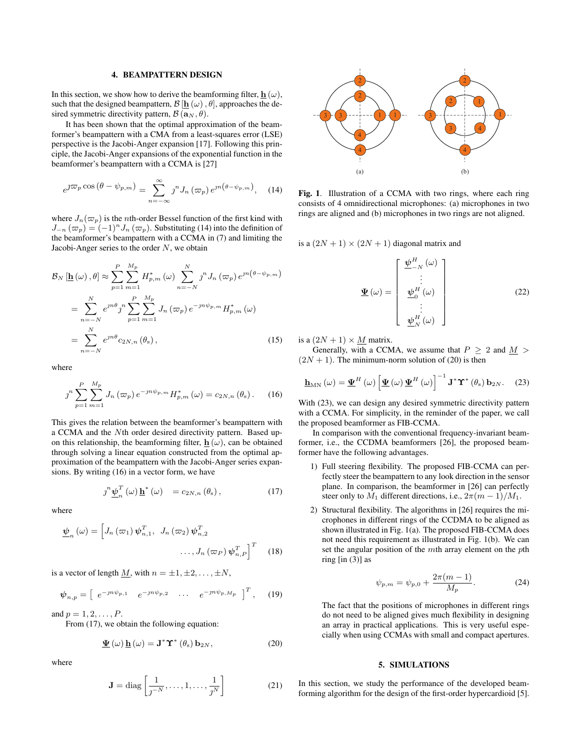#### 4. BEAMPATTERN DESIGN

In this section, we show how to derive the beamforming filter,  $\mathbf{h}(\omega)$ , such that the designed beampattern,  $\mathcal{B}[\mathbf{h}(\omega), \theta]$ , approaches the desired symmetric directivity pattern,  $B(\mathbf{a}_N, \theta)$ .

It has been shown that the optimal approximation of the beamformer's beampattern with a CMA from a least-squares error (LSE) perspective is the Jacobi-Anger expansion [17]. Following this principle, the Jacobi-Anger expansions of the exponential function in the beamformer's beampattern with a CCMA is [27]

$$
e^{j\varpi_p \cos (\theta - \psi_{p,m})} = \sum_{n=-\infty}^{\infty} j^n J_n(\varpi_p) e^{jn(\theta - \psi_{p,m})}, \quad (14)
$$

where  $J_n(\varpi_p)$  is the *n*th-order Bessel function of the first kind with *J*<sup>−</sup>*n*</sub> ( $\varpi$ <sub>*p*</sub>) = (−1)<sup>*n*</sup>*J<sub>n</sub>* ( $\varpi$ <sub>*p*</sub>). Substituting (14) into the definition of the beamformer's beampattern with a CCMA in (7) and limiting the Jacobi-Anger series to the order *N*, we obtain

$$
\mathcal{B}_{N} \left[ \underline{\mathbf{h}}(\omega), \theta \right] \approx \sum_{p=1}^{P} \sum_{m=1}^{M_{p}} H_{p,m}^{*}(\omega) \sum_{n=-N}^{N} j^{n} J_{n} \left( \varpi_{p} \right) e^{jn \left( \theta - \psi_{p,m} \right)}
$$
\n
$$
= \sum_{n=-N}^{N} e^{jn\theta} j^{n} \sum_{p=1}^{P} \sum_{m=1}^{M_{p}} J_{n} \left( \varpi_{p} \right) e^{-jn\psi_{p,m}} H_{p,m}^{*}(\omega)
$$
\n
$$
= \sum_{n=-N}^{N} e^{jn\theta} c_{2N,n} \left( \theta_{s} \right), \qquad (15)
$$

where

$$
\jmath^{n} \sum_{p=1}^{P} \sum_{m=1}^{M_{p}} J_{n} \left( \varpi_{p} \right) e^{-j n \psi_{p,m}} H_{p,m}^{*} \left( \omega \right) = c_{2N,n} \left( \theta_{s} \right). \tag{16}
$$

This gives the relation between the beamformer's beampattern with a CCMA and the *N*th order desired directivity pattern. Based upon this relationship, the beamforming filter,  $\mathbf{h}(\omega)$ , can be obtained through solving a linear equation constructed from the optimal approximation of the beampattern with the Jacobi-Anger series expansions. By writing (16) in a vector form, we have

$$
\jmath^{n} \underline{\psi}_{n}^{T}(\omega) \underline{\mathbf{h}}^{*}(\omega) = c_{2N,n}(\theta_{s}), \qquad (17)
$$

where

$$
\underline{\boldsymbol{\psi}}_n(\omega) = \left[ J_n(\varpi_1) \, \boldsymbol{\psi}_{n,1}^T, \ J_n(\varpi_2) \, \boldsymbol{\psi}_{n,2}^T \right. \dots, J_n(\varpi_P) \, \boldsymbol{\psi}_{n,P}^T \right]^T \quad (18)
$$

is a vector of length <u>*M*</u>, with  $n = \pm 1, \pm 2, \ldots, \pm N$ ,

$$
\psi_{n,p} = \left[ \begin{array}{cccc} e^{-jn\psi_{p,1}} & e^{-jn\psi_{p,2}} & \cdots & e^{-jn\psi_{p,M_p}} \end{array} \right]^T, \quad (19)
$$

and  $p = 1, 2, ..., P$ .

From (17), we obtain the following equation:

$$
\underline{\Psi}(\omega) \underline{\mathbf{h}}(\omega) = \mathbf{J}^* \Upsilon^* (\theta_s) \mathbf{b}_{2N}, \qquad (20)
$$

where

$$
\mathbf{J} = \text{diag}\left[\frac{1}{\jmath^{-N}}, \dots, 1, \dots, \frac{1}{\jmath^N}\right]
$$
 (21)



Fig. 1. Illustration of a CCMA with two rings, where each ring consists of 4 omnidirectional microphones: (a) microphones in two rings are aligned and (b) microphones in two rings are not aligned.

is a  $(2N + 1) \times (2N + 1)$  diagonal matrix and

$$
\underline{\Psi}(\omega) = \begin{bmatrix} \underline{\psi}_{-N}^{H}(\omega) \\ \vdots \\ \underline{\psi}_{0}^{H}(\omega) \\ \vdots \\ \underline{\psi}_{N}^{H}(\omega) \end{bmatrix}
$$
(22)

is a  $(2N + 1) \times M$  matrix.

Generally, with a CCMA, we assume that  $P \ge 2$  and  $M >$  $(2N + 1)$ . The minimum-norm solution of (20) is then

$$
\underline{\mathbf{h}}_{MN}(\omega) = \underline{\Psi}^{H}(\omega) \left[ \underline{\Psi}(\omega) \underline{\Psi}^{H}(\omega) \right]^{-1} \mathbf{J}^{*} \Upsilon^{*}(\theta_{s}) \mathbf{b}_{2N}. \quad (23)
$$

With (23), we can design any desired symmetric directivity pattern with a CCMA. For simplicity, in the reminder of the paper, we call the proposed beamformer as FIB-CCMA.

In comparison with the conventional frequency-invariant beamformer, i.e., the CCDMA beamformers [26], the proposed beamformer have the following advantages.

- 1) Full steering flexibility. The proposed FIB-CCMA can perfectly steer the beampattern to any look direction in the sensor plane. In comparison, the beamformer in [26] can perfectly steer only to  $M_1$  different directions, i.e.,  $2\pi(m-1)/M_1$ .
- 2) Structural flexibility. The algorithms in [26] requires the microphones in different rings of the CCDMA to be aligned as shown illustrated in Fig. 1(a). The proposed FIB-CCMA does not need this requirement as illustrated in Fig. 1(b). We can set the angular position of the *m*th array element on the *p*th ring  $\left[ \text{in } (3) \right]$  as

$$
\psi_{p,m} = \psi_{p,0} + \frac{2\pi(m-1)}{M_p}.
$$
 (24)

The fact that the positions of microphones in different rings do not need to be aligned gives much flexibility in designing an array in practical applications. This is very useful especially when using CCMAs with small and compact apertures.

#### 5. SIMULATIONS

In this section, we study the performance of the developed beamforming algorithm for the design of the first-order hypercardioid [5].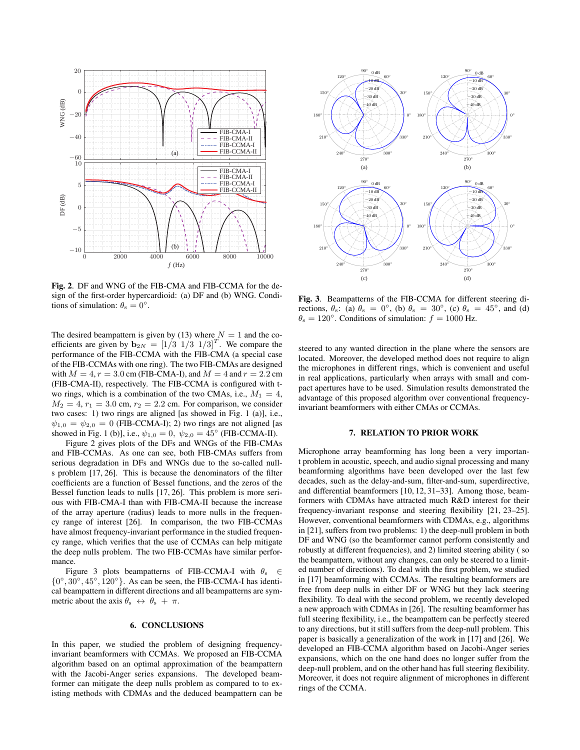

Fig. 2. DF and WNG of the FIB-CMA and FIB-CCMA for the design of the first-order hypercardioid: (a) DF and (b) WNG. Conditions of simulation:  $\theta_s = 0^\circ$ .

The desired beampattern is given by (13) where  $N = 1$  and the coefficients are given by  $\mathbf{b}_{2N} = \begin{bmatrix} 1/3 & 1/3 & 1/3 \end{bmatrix}^T$ . We compare the performance of the FIB-CCMA with the FIB-CMA (a special case of the FIB-CCMAs with one ring). The two FIB-CMAs are designed with  $M = 4$ ,  $r = 3.0$  cm (FIB-CMA-I), and  $M = 4$  and  $r = 2.2$  cm (FIB-CMA-II), respectively. The FIB-CCMA is configured with two rings, which is a combination of the two CMAs, i.e.,  $M_1 = 4$ ,  $M_2 = 4$ ,  $r_1 = 3.0$  cm,  $r_2 = 2.2$  cm. For comparison, we consider two cases: 1) two rings are aligned [as showed in Fig. 1 (a)], i.e.,  $\psi_{1,0} = \psi_{2,0} = 0$  (FIB-CCMA-I); 2) two rings are not aligned [as showed in Fig. 1 (b)], i.e.,  $\psi_{1,0} = 0$ ,  $\psi_{2,0} = 45^\circ$  (FIB-CCMA-II).

Figure 2 gives plots of the DFs and WNGs of the FIB-CMAs and FIB-CCMAs. As one can see, both FIB-CMAs suffers from serious degradation in DFs and WNGs due to the so-called nulls problem [17, 26]. This is because the denominators of the filter coefficients are a function of Bessel functions, and the zeros of the Bessel function leads to nulls [17, 26]. This problem is more serious with FIB-CMA-I than with FIB-CMA-II because the increase of the array aperture (radius) leads to more nulls in the frequency range of interest [26]. In comparison, the two FIB-CCMAs have almost frequency-invariant performance in the studied frequency range, which verifies that the use of CCMAs can help mitigate the deep nulls problem. The two FIB-CCMAs have similar performance.

Figure 3 plots beampatterns of FIB-CCMA-I with *θ*<sup>s</sup> *∈ {*0 *◦ ,* 30*◦ ,* 45*◦ ,* 120*◦ }*. As can be seen, the FIB-CCMA-I has identical beampattern in different directions and all beampatterns are symmetric about the axis  $\theta_s \leftrightarrow \theta_s + \pi$ .

# 6. CONCLUSIONS

In this paper, we studied the problem of designing frequencyinvariant beamformers with CCMAs. We proposed an FIB-CCMA algorithm based on an optimal approximation of the beampattern with the Jacobi-Anger series expansions. The developed beamformer can mitigate the deep nulls problem as compared to to existing methods with CDMAs and the deduced beampattern can be



Fig. 3. Beampatterns of the FIB-CCMA for different steering directions,  $\theta_s$ : (a)  $\theta_s = 0^\circ$ , (b)  $\theta_s = 30^\circ$ , (c)  $\theta_s = 45^\circ$ , and (d)  $\theta_s = 120^\circ$ . Conditions of simulation:  $f = 1000$  Hz.

steered to any wanted direction in the plane where the sensors are located. Moreover, the developed method does not require to align the microphones in different rings, which is convenient and useful in real applications, particularly when arrays with small and compact apertures have to be used. Simulation results demonstrated the advantage of this proposed algorithm over conventional frequencyinvariant beamformers with either CMAs or CCMAs.

# 7. RELATION TO PRIOR WORK

Microphone array beamforming has long been a very important problem in acoustic, speech, and audio signal processing and many beamforming algorithms have been developed over the last few decades, such as the delay-and-sum, filter-and-sum, superdirective, and differential beamformers [10, 12, 31–33]. Among those, beamformers with CDMAs have attracted much R&D interest for their frequency-invariant response and steering flexibility [21, 23–25]. However, conventional beamformers with CDMAs, e.g., algorithms in [21], suffers from two problems: 1) the deep-null problem in both DF and WNG (so the beamformer cannot perform consistently and robustly at different frequencies), and 2) limited steering ability ( so the beampattern, without any changes, can only be steered to a limited number of directions). To deal with the first problem, we studied in [17] beamforming with CCMAs. The resulting beamformers are free from deep nulls in either DF or WNG but they lack steering flexibility. To deal with the second problem, we recently developed a new approach with CDMAs in [26]. The resulting beamformer has full steering flexibility, i.e., the beampattern can be perfectly steered to any directions, but it still suffers from the deep-null problem. This paper is basically a generalization of the work in [17] and [26]. We developed an FIB-CCMA algorithm based on Jacobi-Anger series expansions, which on the one hand does no longer suffer from the deep-null problem, and on the other hand has full steering flexibility. Moreover, it does not require alignment of microphones in different rings of the CCMA.